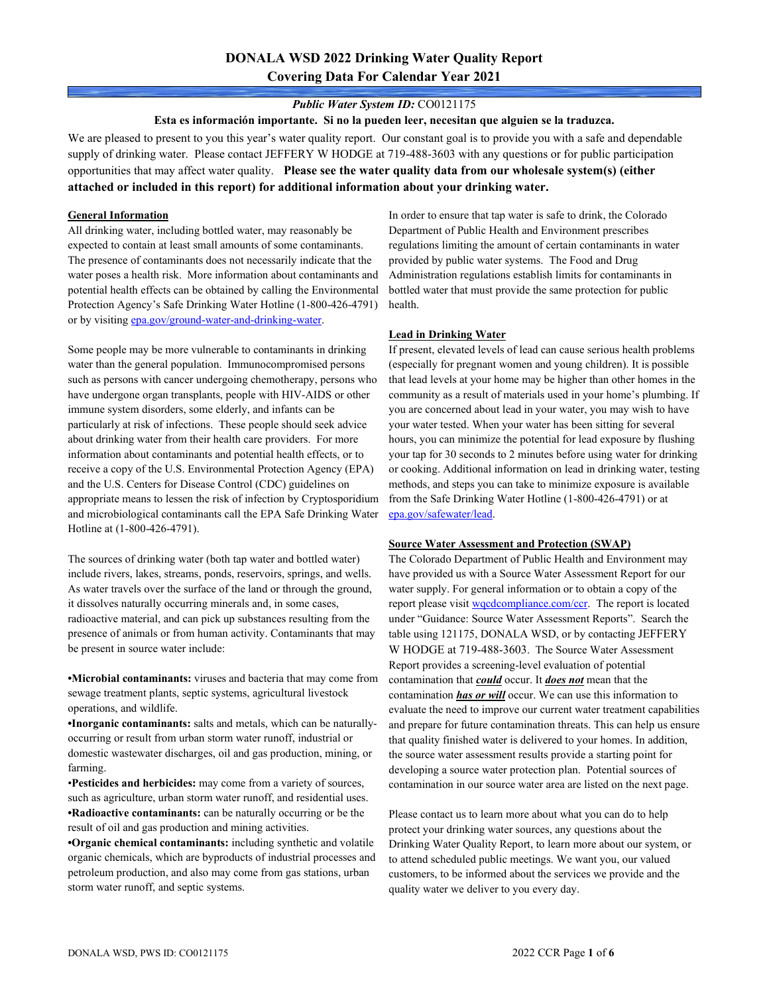# **DONALA WSD 2022 Drinking Water Quality Report Covering Data For Calendar Year 2021**

### *Public Water System ID:* CO0121175

**Esta es información importante. Si no la pueden leer, necesitan que alguien se la traduzca.**

We are pleased to present to you this year's water quality report. Our constant goal is to provide you with a safe and dependable supply of drinking water. Please contact JEFFERY W HODGE at 719-488-3603 with any questions or for public participation opportunities that may affect water quality. **Please see the water quality data from our wholesale system(s) (either attached or included in this report) for additional information about your drinking water.**

### **General Information**

All drinking water, including bottled water, may reasonably be expected to contain at least small amounts of some contaminants. The presence of contaminants does not necessarily indicate that the water poses a health risk. More information about contaminants and potential health effects can be obtained by calling the Environmental Protection Agency's Safe Drinking Water Hotline (1-800-426-4791) or by visiting [epa.gov/ground-water-and-drinking-water.](https://www.epa.gov/ground-water-and-drinking-water)

Some people may be more vulnerable to contaminants in drinking water than the general population. Immunocompromised persons such as persons with cancer undergoing chemotherapy, persons who have undergone organ transplants, people with HIV-AIDS or other immune system disorders, some elderly, and infants can be particularly at risk of infections. These people should seek advice about drinking water from their health care providers. For more information about contaminants and potential health effects, or to receive a copy of the U.S. Environmental Protection Agency (EPA) and the U.S. Centers for Disease Control (CDC) guidelines on appropriate means to lessen the risk of infection by Cryptosporidium and microbiological contaminants call the EPA Safe Drinking Water Hotline at (1-800-426-4791).

The sources of drinking water (both tap water and bottled water) include rivers, lakes, streams, ponds, reservoirs, springs, and wells. As water travels over the surface of the land or through the ground, it dissolves naturally occurring minerals and, in some cases, radioactive material, and can pick up substances resulting from the presence of animals or from human activity. Contaminants that may be present in source water include:

**•Microbial contaminants:** viruses and bacteria that may come from sewage treatment plants, septic systems, agricultural livestock operations, and wildlife.

**•Inorganic contaminants:** salts and metals, which can be naturallyoccurring or result from urban storm water runoff, industrial or domestic wastewater discharges, oil and gas production, mining, or farming.

•**Pesticides and herbicides:** may come from a variety of sources, such as agriculture, urban storm water runoff, and residential uses. **•Radioactive contaminants:** can be naturally occurring or be the result of oil and gas production and mining activities.

**•Organic chemical contaminants:** including synthetic and volatile organic chemicals, which are byproducts of industrial processes and petroleum production, and also may come from gas stations, urban storm water runoff, and septic systems.

In order to ensure that tap water is safe to drink, the Colorado Department of Public Health and Environment prescribes regulations limiting the amount of certain contaminants in water provided by public water systems. The Food and Drug Administration regulations establish limits for contaminants in bottled water that must provide the same protection for public health.

### **Lead in Drinking Water**

If present, elevated levels of lead can cause serious health problems (especially for pregnant women and young children). It is possible that lead levels at your home may be higher than other homes in the community as a result of materials used in your home's plumbing. If you are concerned about lead in your water, you may wish to have your water tested. When your water has been sitting for several hours, you can minimize the potential for lead exposure by flushing your tap for 30 seconds to 2 minutes before using water for drinking or cooking. Additional information on lead in drinking water, testing methods, and steps you can take to minimize exposure is available from the Safe Drinking Water Hotline (1-800-426-4791) or at [epa.gov/safewater/lead.](http://www.epa.gov/safewater/lead) 

#### **Source Water Assessment and Protection (SWAP)**

The Colorado Department of Public Health and Environment may have provided us with a Source Water Assessment Report for our water supply. For general information or to obtain a copy of the report please visit [wqcdcompliance.com/ccr.](https://wqcdcompliance.com/ccr) The report is located under "Guidance: Source Water Assessment Reports". Search the table using 121175, DONALA WSD, or by contacting JEFFERY W HODGE at 719-488-3603. The Source Water Assessment Report provides a screening-level evaluation of potential contamination that *could* occur. It *does not* mean that the contamination *has or will* occur. We can use this information to evaluate the need to improve our current water treatment capabilities and prepare for future contamination threats. This can help us ensure that quality finished water is delivered to your homes. In addition, the source water assessment results provide a starting point for developing a source water protection plan. Potential sources of contamination in our source water area are listed on the next page.

Please contact us to learn more about what you can do to help protect your drinking water sources, any questions about the Drinking Water Quality Report, to learn more about our system, or to attend scheduled public meetings. We want you, our valued customers, to be informed about the services we provide and the quality water we deliver to you every day.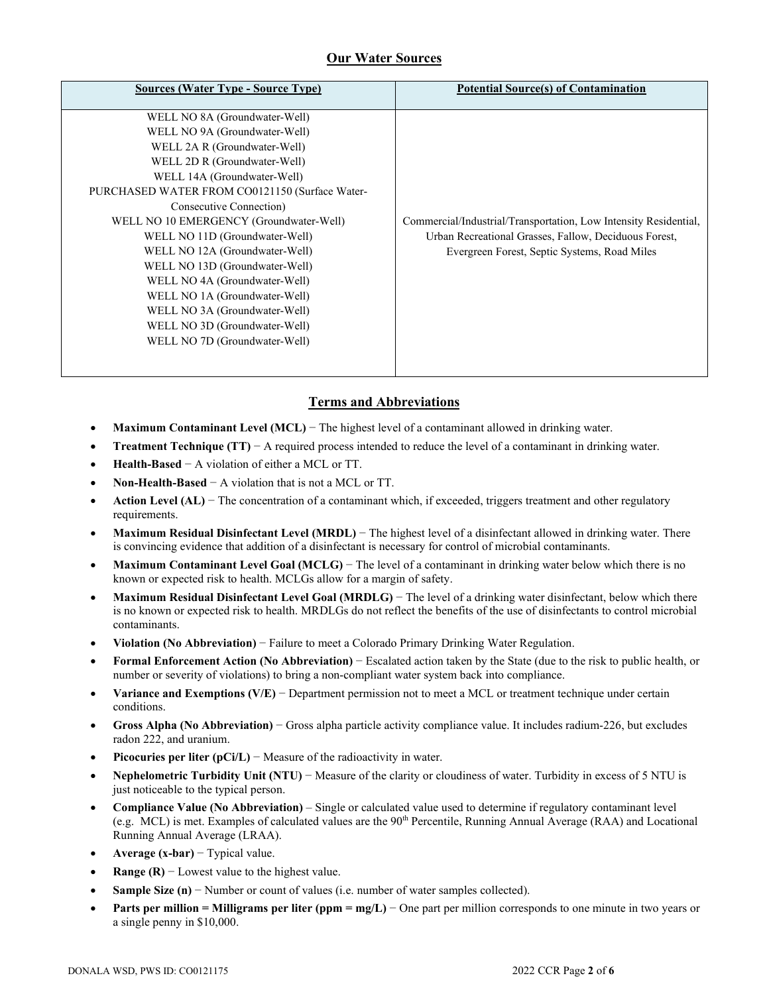# **Our Water Sources**

| <b>Sources (Water Type - Source Type)</b>      | <b>Potential Source(s) of Contamination</b>                      |
|------------------------------------------------|------------------------------------------------------------------|
| WELL NO 8A (Groundwater-Well)                  |                                                                  |
| WELL NO 9A (Groundwater-Well)                  |                                                                  |
| WELL 2A R (Groundwater-Well)                   |                                                                  |
| WELL 2D R (Groundwater-Well)                   |                                                                  |
| WELL 14A (Groundwater-Well)                    |                                                                  |
| PURCHASED WATER FROM CO0121150 (Surface Water- |                                                                  |
| Consecutive Connection)                        |                                                                  |
| WELL NO 10 EMERGENCY (Groundwater-Well)        | Commercial/Industrial/Transportation, Low Intensity Residential, |
| WELL NO 11D (Groundwater-Well)                 | Urban Recreational Grasses, Fallow, Deciduous Forest,            |
| WELL NO 12A (Groundwater-Well)                 | Evergreen Forest, Septic Systems, Road Miles                     |
| WELL NO 13D (Groundwater-Well)                 |                                                                  |
| WELL NO 4A (Groundwater-Well)                  |                                                                  |
| WELL NO 1A (Groundwater-Well)                  |                                                                  |
| WELL NO 3A (Groundwater-Well)                  |                                                                  |
| WELL NO 3D (Groundwater-Well)                  |                                                                  |
| WELL NO 7D (Groundwater-Well)                  |                                                                  |
|                                                |                                                                  |
|                                                |                                                                  |

## **Terms and Abbreviations**

- **Maximum Contaminant Level (MCL)** − The highest level of a contaminant allowed in drinking water.
- **Treatment Technique (TT)** − A required process intended to reduce the level of a contaminant in drinking water.
- **Health-Based** − A violation of either a MCL or TT.
- **Non-Health-Based** − A violation that is not a MCL or TT.
- **Action Level (AL)** − The concentration of a contaminant which, if exceeded, triggers treatment and other regulatory requirements.
- **Maximum Residual Disinfectant Level (MRDL)** − The highest level of a disinfectant allowed in drinking water. There is convincing evidence that addition of a disinfectant is necessary for control of microbial contaminants.
- **Maximum Contaminant Level Goal (MCLG)** − The level of a contaminant in drinking water below which there is no known or expected risk to health. MCLGs allow for a margin of safety.
- **Maximum Residual Disinfectant Level Goal (MRDLG)** − The level of a drinking water disinfectant, below which there is no known or expected risk to health. MRDLGs do not reflect the benefits of the use of disinfectants to control microbial contaminants.
- **Violation (No Abbreviation)** − Failure to meet a Colorado Primary Drinking Water Regulation.
- **Formal Enforcement Action (No Abbreviation)** − Escalated action taken by the State (due to the risk to public health, or number or severity of violations) to bring a non-compliant water system back into compliance.
- **Variance and Exemptions (V/E)** − Department permission not to meet a MCL or treatment technique under certain conditions.
- **Gross Alpha (No Abbreviation)** − Gross alpha particle activity compliance value. It includes radium-226, but excludes radon 222, and uranium.
- **Picocuries per liter (pCi/L)** − Measure of the radioactivity in water.
- **Nephelometric Turbidity Unit (NTU)** − Measure of the clarity or cloudiness of water. Turbidity in excess of 5 NTU is just noticeable to the typical person.
- **Compliance Value (No Abbreviation)** Single or calculated value used to determine if regulatory contaminant level (e.g. MCL) is met. Examples of calculated values are the 90<sup>th</sup> Percentile, Running Annual Average (RAA) and Locational Running Annual Average (LRAA).
- **Average (x-bar)** − Typical value.
- **Range (R)**  $-$  Lowest value to the highest value.
- **Sample Size (n)** − Number or count of values (i.e. number of water samples collected).
- **Parts per million = Milligrams per liter (ppm = mg/L)** − One part per million corresponds to one minute in two years or a single penny in \$10,000.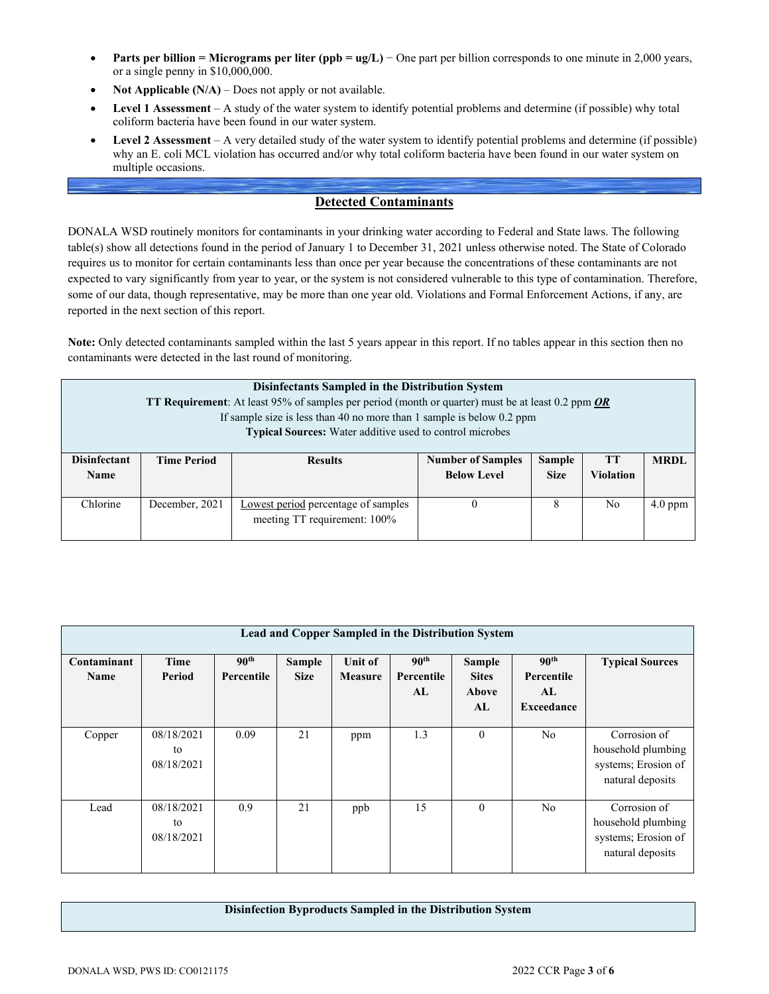- **Parts per billion = Micrograms per liter (ppb = ug/L)** − One part per billion corresponds to one minute in 2,000 years, or a single penny in \$10,000,000.
- **Not Applicable (N/A)** Does not apply or not available.
- **Level 1 Assessment** A study of the water system to identify potential problems and determine (if possible) why total coliform bacteria have been found in our water system.
- **Level 2 Assessment** A very detailed study of the water system to identify potential problems and determine (if possible) why an E. coli MCL violation has occurred and/or why total coliform bacteria have been found in our water system on multiple occasions.

## **Detected Contaminants**

DONALA WSD routinely monitors for contaminants in your drinking water according to Federal and State laws. The following table(s) show all detections found in the period of January 1 to December 31, 2021 unless otherwise noted. The State of Colorado requires us to monitor for certain contaminants less than once per year because the concentrations of these contaminants are not expected to vary significantly from year to year, or the system is not considered vulnerable to this type of contamination. Therefore, some of our data, though representative, may be more than one year old. Violations and Formal Enforcement Actions, if any, are reported in the next section of this report.

**Note:** Only detected contaminants sampled within the last 5 years appear in this report. If no tables appear in this section then no contaminants were detected in the last round of monitoring.

| Disinfectants Sampled in the Distribution System<br><b>TT Requirement:</b> At least 95% of samples per period (month or quarter) must be at least 0.2 ppm $OR$ |                                                                 |                                     |                          |               |                  |             |  |  |  |  |
|----------------------------------------------------------------------------------------------------------------------------------------------------------------|-----------------------------------------------------------------|-------------------------------------|--------------------------|---------------|------------------|-------------|--|--|--|--|
| If sample size is less than 40 no more than 1 sample is below 0.2 ppm                                                                                          |                                                                 |                                     |                          |               |                  |             |  |  |  |  |
|                                                                                                                                                                | <b>Typical Sources:</b> Water additive used to control microbes |                                     |                          |               |                  |             |  |  |  |  |
| <b>Disinfectant</b>                                                                                                                                            | <b>Time Period</b>                                              | <b>Results</b>                      | <b>Number of Samples</b> | <b>Sample</b> | <b>TT</b>        | <b>MRDL</b> |  |  |  |  |
|                                                                                                                                                                |                                                                 |                                     |                          |               |                  |             |  |  |  |  |
| Name                                                                                                                                                           |                                                                 |                                     | <b>Below Level</b>       | <b>Size</b>   | <b>Violation</b> |             |  |  |  |  |
|                                                                                                                                                                |                                                                 |                                     |                          |               |                  |             |  |  |  |  |
| Chlorine                                                                                                                                                       | December, 2021                                                  | Lowest period percentage of samples | $\theta$                 | 8             | N <sub>0</sub>   | $4.0$ ppm   |  |  |  |  |
|                                                                                                                                                                |                                                                 | meeting TT requirement: 100%        |                          |               |                  |             |  |  |  |  |
|                                                                                                                                                                |                                                                 |                                     |                          |               |                  |             |  |  |  |  |

| Lead and Copper Sampled in the Distribution System |                                |                                |                              |                           |                                      |                                              |                                                           |                                                                               |  |  |  |
|----------------------------------------------------|--------------------------------|--------------------------------|------------------------------|---------------------------|--------------------------------------|----------------------------------------------|-----------------------------------------------------------|-------------------------------------------------------------------------------|--|--|--|
| Contaminant<br>Name                                | Time<br>Period                 | 90 <sup>th</sup><br>Percentile | <b>Sample</b><br><b>Size</b> | Unit of<br><b>Measure</b> | 90 <sup>th</sup><br>Percentile<br>AL | <b>Sample</b><br><b>Sites</b><br>Above<br>AL | 90 <sup>th</sup><br>Percentile<br>AL<br><b>Exceedance</b> | <b>Typical Sources</b>                                                        |  |  |  |
| Copper                                             | 08/18/2021<br>to<br>08/18/2021 | 0.09                           | 21                           | ppm                       | 1.3                                  | $\mathbf{0}$                                 | N <sub>o</sub>                                            | Corrosion of<br>household plumbing<br>systems; Erosion of<br>natural deposits |  |  |  |
| Lead                                               | 08/18/2021<br>to<br>08/18/2021 | 0.9                            | 21                           | ppb                       | 15                                   | $\theta$                                     | N <sub>o</sub>                                            | Corrosion of<br>household plumbing<br>systems; Erosion of<br>natural deposits |  |  |  |

#### **Disinfection Byproducts Sampled in the Distribution System**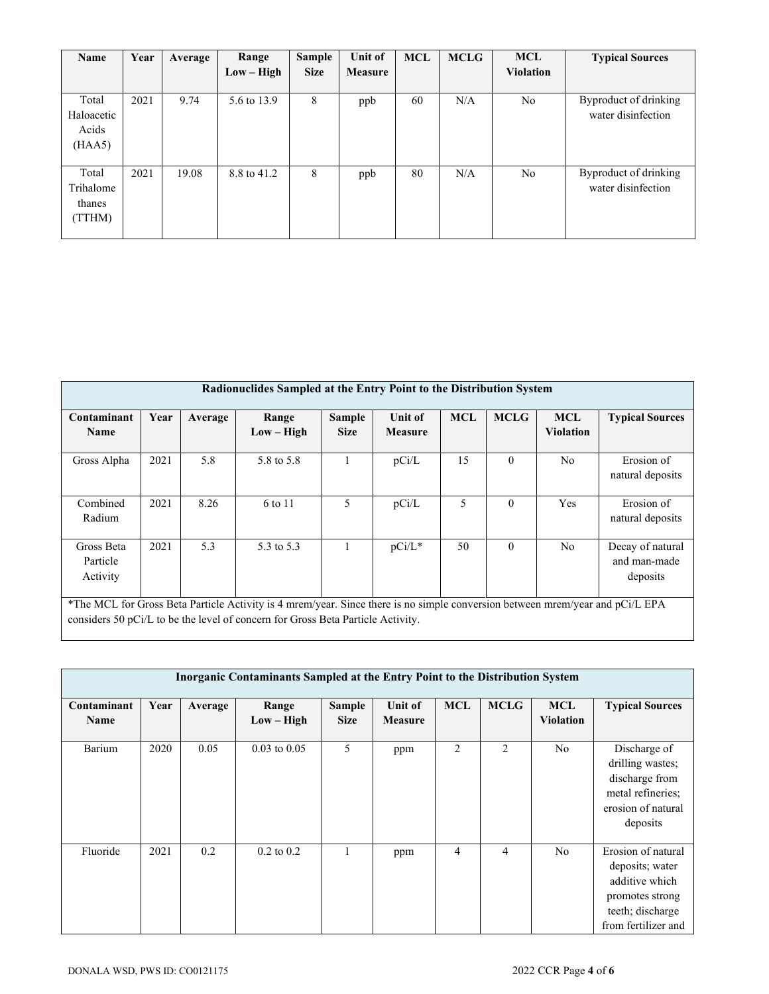| Name                                   | Year | Average | Range<br>$Low - High$ | Sample<br><b>Size</b> | Unit of<br><b>Measure</b> | <b>MCL</b> | <b>MCLG</b> | <b>MCL</b><br><b>Violation</b> | <b>Typical Sources</b>                      |
|----------------------------------------|------|---------|-----------------------|-----------------------|---------------------------|------------|-------------|--------------------------------|---------------------------------------------|
| Total<br>Haloacetic<br>Acids<br>(HAA5) | 2021 | 9.74    | 5.6 to 13.9           | 8                     | ppb                       | 60         | N/A         | N <sub>o</sub>                 | Byproduct of drinking<br>water disinfection |
| Total<br>Trihalome<br>thanes<br>(TTHM) | 2021 | 19.08   | 8.8 to 41.2           | 8                     | ppb                       | 80         | N/A         | N <sub>o</sub>                 | Byproduct of drinking<br>water disinfection |

| Radionuclides Sampled at the Entry Point to the Distribution System |                                                                                                                                                                                                                  |         |                       |                              |                           |            |             |                                |                                              |  |
|---------------------------------------------------------------------|------------------------------------------------------------------------------------------------------------------------------------------------------------------------------------------------------------------|---------|-----------------------|------------------------------|---------------------------|------------|-------------|--------------------------------|----------------------------------------------|--|
| Contaminant<br><b>Name</b>                                          | Year                                                                                                                                                                                                             | Average | Range<br>$Low - High$ | <b>Sample</b><br><b>Size</b> | Unit of<br><b>Measure</b> | <b>MCL</b> | <b>MCLG</b> | <b>MCL</b><br><b>Violation</b> | <b>Typical Sources</b>                       |  |
| Gross Alpha                                                         | 2021                                                                                                                                                                                                             | 5.8     | 5.8 to 5.8            |                              | pCi/L                     | 15         | $\theta$    | No                             | Erosion of<br>natural deposits               |  |
| Combined<br>Radium                                                  | 2021                                                                                                                                                                                                             | 8.26    | 6 to 11               | 5                            | pCi/L                     | 5          | $\theta$    | Yes                            | Erosion of<br>natural deposits               |  |
| Gross Beta<br>Particle<br>Activity                                  | 2021                                                                                                                                                                                                             | 5.3     | 5.3 to 5.3            |                              | $pCi/L^*$                 | 50         | $\theta$    | N <sub>o</sub>                 | Decay of natural<br>and man-made<br>deposits |  |
|                                                                     | *The MCL for Gross Beta Particle Activity is 4 mrem/year. Since there is no simple conversion between mrem/year and pCi/L EPA<br>considers 50 pCi/L to be the level of concern for Gross Beta Particle Activity. |         |                       |                              |                           |            |             |                                |                                              |  |

| <b>Inorganic Contaminants Sampled at the Entry Point to the Distribution System</b> |      |         |                       |                       |                           |                |             |                                |                                                                                                                       |  |
|-------------------------------------------------------------------------------------|------|---------|-----------------------|-----------------------|---------------------------|----------------|-------------|--------------------------------|-----------------------------------------------------------------------------------------------------------------------|--|
| Contaminant<br><b>Name</b>                                                          | Year | Average | Range<br>$Low - High$ | Sample<br><b>Size</b> | Unit of<br><b>Measure</b> | <b>MCL</b>     | <b>MCLG</b> | <b>MCL</b><br><b>Violation</b> | <b>Typical Sources</b>                                                                                                |  |
| Barium                                                                              | 2020 | 0.05    | $0.03$ to $0.05$      | 5                     | ppm                       | $\overline{2}$ | 2           | N <sub>o</sub>                 | Discharge of<br>drilling wastes;<br>discharge from<br>metal refineries;<br>erosion of natural<br>deposits             |  |
| Fluoride                                                                            | 2021 | 0.2     | $0.2 \text{ to } 0.2$ |                       | ppm                       | 4              | 4           | N <sub>o</sub>                 | Erosion of natural<br>deposits; water<br>additive which<br>promotes strong<br>teeth; discharge<br>from fertilizer and |  |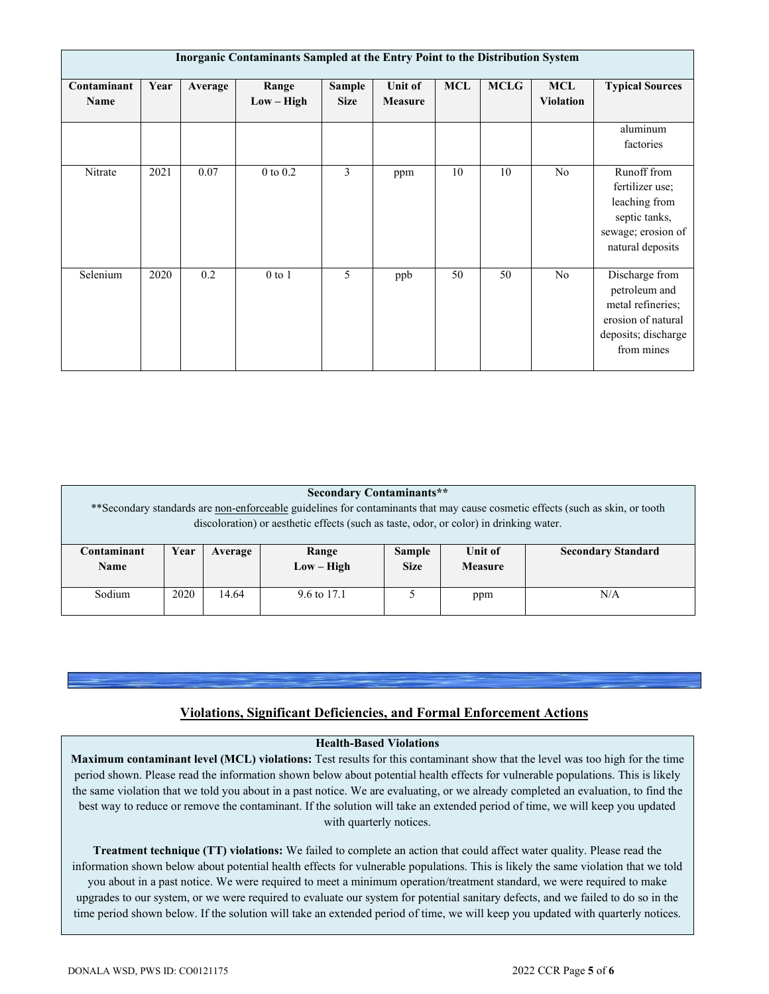| Inorganic Contaminants Sampled at the Entry Point to the Distribution System |      |         |                       |                       |                           |            |             |                                |                                                                                                                 |  |
|------------------------------------------------------------------------------|------|---------|-----------------------|-----------------------|---------------------------|------------|-------------|--------------------------------|-----------------------------------------------------------------------------------------------------------------|--|
| Contaminant<br><b>Name</b>                                                   | Year | Average | Range<br>$Low - High$ | Sample<br><b>Size</b> | Unit of<br><b>Measure</b> | <b>MCL</b> | <b>MCLG</b> | <b>MCL</b><br><b>Violation</b> | <b>Typical Sources</b>                                                                                          |  |
|                                                                              |      |         |                       |                       |                           |            |             |                                | aluminum<br>factories                                                                                           |  |
| Nitrate                                                                      | 2021 | 0.07    | $0$ to $0.2$          | 3                     | ppm                       | 10         | 10          | N <sub>o</sub>                 | Runoff from<br>fertilizer use;<br>leaching from<br>septic tanks,<br>sewage; erosion of<br>natural deposits      |  |
| Selenium                                                                     | 2020 | 0.2     | $0$ to $1$            | 5                     | ppb                       | 50         | 50          | N <sub>o</sub>                 | Discharge from<br>petroleum and<br>metal refineries;<br>erosion of natural<br>deposits; discharge<br>from mines |  |

| <b>Secondary Contaminants**</b>                                                                                                |      |         |              |               |                |                           |  |  |  |
|--------------------------------------------------------------------------------------------------------------------------------|------|---------|--------------|---------------|----------------|---------------------------|--|--|--|
| ** Secondary standards are non-enforceable guidelines for contaminants that may cause cosmetic effects (such as skin, or tooth |      |         |              |               |                |                           |  |  |  |
| discoloration) or aesthetic effects (such as taste, odor, or color) in drinking water.                                         |      |         |              |               |                |                           |  |  |  |
|                                                                                                                                |      |         |              |               |                |                           |  |  |  |
| Contaminant                                                                                                                    | Year | Average | Range        | <b>Sample</b> | Unit of        | <b>Secondary Standard</b> |  |  |  |
| <b>Name</b>                                                                                                                    |      |         | $Low - High$ | <b>Size</b>   | <b>Measure</b> |                           |  |  |  |
|                                                                                                                                |      |         |              |               |                |                           |  |  |  |
| Sodium                                                                                                                         | 2020 | 14.64   | 9.6 to 17.1  |               | ppm            | N/A                       |  |  |  |
|                                                                                                                                |      |         |              |               |                |                           |  |  |  |

### **Violations, Significant Deficiencies, and Formal Enforcement Actions**

#### **Health-Based Violations**

**Maximum contaminant level (MCL) violations:** Test results for this contaminant show that the level was too high for the time period shown. Please read the information shown below about potential health effects for vulnerable populations. This is likely the same violation that we told you about in a past notice. We are evaluating, or we already completed an evaluation, to find the best way to reduce or remove the contaminant. If the solution will take an extended period of time, we will keep you updated with quarterly notices.

**Treatment technique (TT) violations:** We failed to complete an action that could affect water quality. Please read the information shown below about potential health effects for vulnerable populations. This is likely the same violation that we told you about in a past notice. We were required to meet a minimum operation/treatment standard, we were required to make upgrades to our system, or we were required to evaluate our system for potential sanitary defects, and we failed to do so in the time period shown below. If the solution will take an extended period of time, we will keep you updated with quarterly notices.